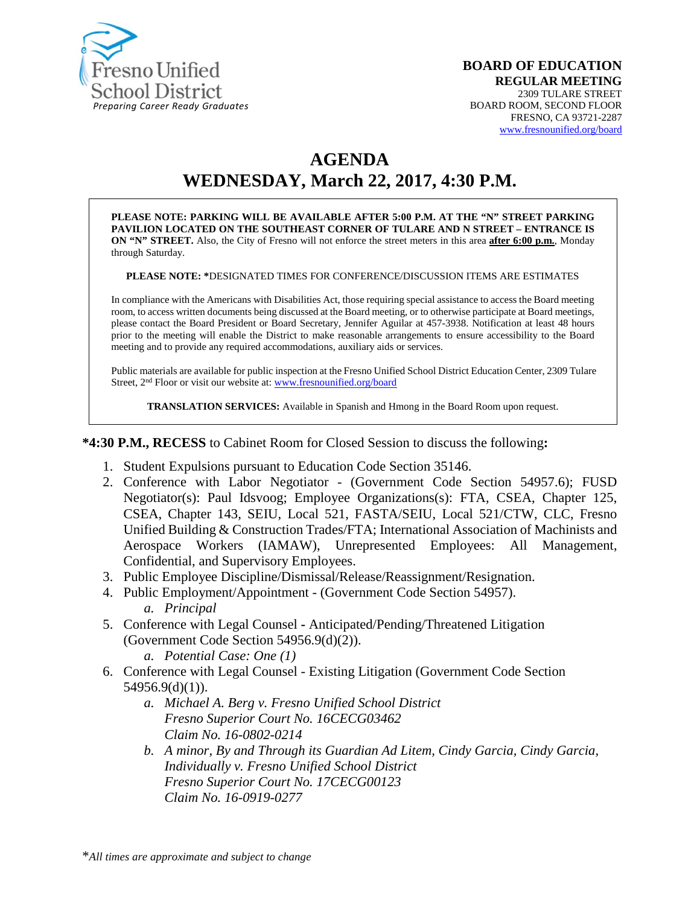

#### **BOARD OF EDUCATION REGULAR MEETING** 2309 TULARE STREET BOARD ROOM, SECOND FLOOR FRESNO, CA 93721-2287 [www.fresnounified.org/board](http://www.fresnounified.org/board)

# **AGENDA WEDNESDAY, March 22, 2017, 4:30 P.M.**

**PLEASE NOTE: PARKING WILL BE AVAILABLE AFTER 5:00 P.M. AT THE "N" STREET PARKING PAVILION LOCATED ON THE SOUTHEAST CORNER OF TULARE AND N STREET – ENTRANCE IS ON "N" STREET.** Also, the City of Fresno will not enforce the street meters in this area **after 6:00 p.m.**, Monday through Saturday.

**PLEASE NOTE: \***DESIGNATED TIMES FOR CONFERENCE/DISCUSSION ITEMS ARE ESTIMATES

In compliance with the Americans with Disabilities Act, those requiring special assistance to access the Board meeting room, to access written documents being discussed at the Board meeting, or to otherwise participate at Board meetings, please contact the Board President or Board Secretary, Jennifer Aguilar at 457-3938. Notification at least 48 hours prior to the meeting will enable the District to make reasonable arrangements to ensure accessibility to the Board meeting and to provide any required accommodations, auxiliary aids or services.

Public materials are available for public inspection at the Fresno Unified School District Education Center, 2309 Tulare Street, 2<sup>nd</sup> Floor or visit our website at: [www.fresnounified.org/board](http://www.fresnounified.org/board)

**TRANSLATION SERVICES:** Available in Spanish and Hmong in the Board Room upon request.

**\*4:30 P.M., RECESS** to Cabinet Room for Closed Session to discuss the following**:**

- 1. Student Expulsions pursuant to Education Code Section 35146.
- 2. Conference with Labor Negotiator (Government Code Section 54957.6); FUSD Negotiator(s): Paul Idsvoog; Employee Organizations(s): FTA, CSEA, Chapter 125, CSEA, Chapter 143, SEIU, Local 521, FASTA/SEIU, Local 521/CTW, CLC, Fresno Unified Building & Construction Trades/FTA; International Association of Machinists and Aerospace Workers (IAMAW), Unrepresented Employees: All Management, Confidential, and Supervisory Employees.
- 3. Public Employee Discipline/Dismissal/Release/Reassignment/Resignation.
- 4. Public Employment/Appointment (Government Code Section 54957). *a. Principal*
- 5. Conference with Legal Counsel **-** Anticipated/Pending/Threatened Litigation (Government Code Section 54956.9(d)(2)).
	- *a. Potential Case: One (1)*
- 6. Conference with Legal Counsel Existing Litigation (Government Code Section 54956.9(d)(1)).
	- *a. Michael A. Berg v. Fresno Unified School District Fresno Superior Court No. 16CECG03462 Claim No. 16-0802-0214*
	- *b. A minor, By and Through its Guardian Ad Litem, Cindy Garcia, Cindy Garcia, Individually v. Fresno Unified School District Fresno Superior Court No. 17CECG00123 Claim No. 16-0919-0277*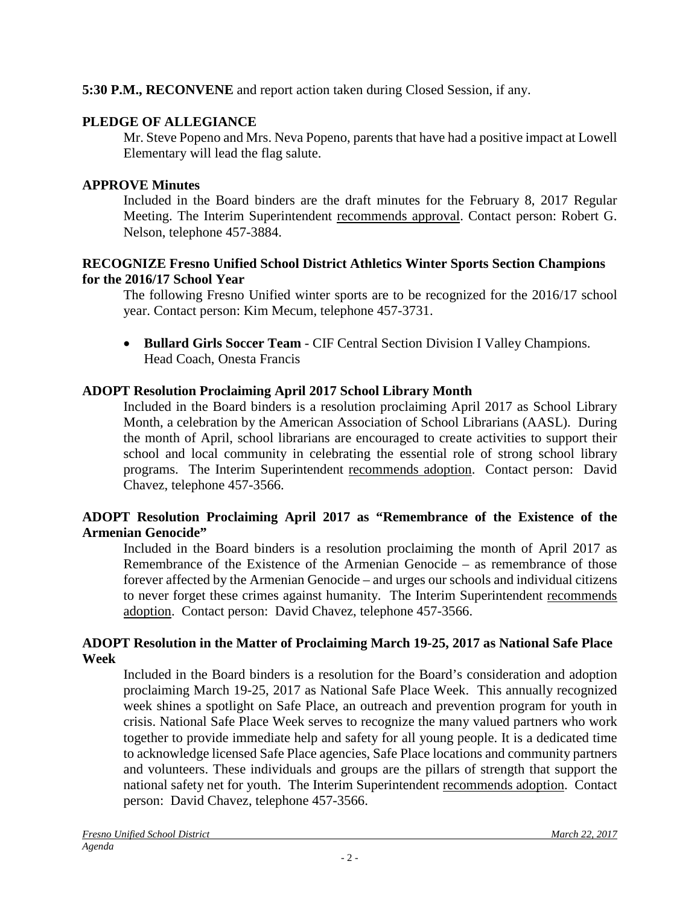### **5:30 P.M., RECONVENE** and report action taken during Closed Session, if any.

### **PLEDGE OF ALLEGIANCE**

Mr. Steve Popeno and Mrs. Neva Popeno, parents that have had a positive impact at Lowell Elementary will lead the flag salute.

### **APPROVE Minutes**

Included in the Board binders are the draft minutes for the February 8, 2017 Regular Meeting. The Interim Superintendent recommends approval. Contact person: Robert G. Nelson, telephone 457-3884.

### **RECOGNIZE Fresno Unified School District Athletics Winter Sports Section Champions for the 2016/17 School Year**

The following Fresno Unified winter sports are to be recognized for the 2016/17 school year. Contact person: Kim Mecum, telephone 457-3731.

• **Bullard Girls Soccer Team** - CIF Central Section Division I Valley Champions. Head Coach, Onesta Francis

# **ADOPT Resolution Proclaiming April 2017 School Library Month**

Included in the Board binders is a resolution proclaiming April 2017 as School Library Month, a celebration by the American Association of School Librarians (AASL). During the month of April, school librarians are encouraged to create activities to support their school and local community in celebrating the essential role of strong school library programs. The Interim Superintendent recommends adoption. Contact person: David Chavez, telephone 457-3566.

### **ADOPT Resolution Proclaiming April 2017 as "Remembrance of the Existence of the Armenian Genocide"**

Included in the Board binders is a resolution proclaiming the month of April 2017 as Remembrance of the Existence of the Armenian Genocide – as remembrance of those forever affected by the Armenian Genocide – and urges our schools and individual citizens to never forget these crimes against humanity. The Interim Superintendent recommends adoption. Contact person: David Chavez, telephone 457-3566.

### **ADOPT Resolution in the Matter of Proclaiming March 19-25, 2017 as National Safe Place Week**

Included in the Board binders is a resolution for the Board's consideration and adoption proclaiming March 19-25, 2017 as National Safe Place Week. This annually recognized week shines a spotlight on Safe Place, an outreach and prevention program for youth in crisis. National Safe Place Week serves to recognize the many valued partners who work together to provide immediate help and safety for all young people. It is a dedicated time to acknowledge licensed Safe Place agencies, Safe Place locations and community partners and volunteers. These individuals and groups are the pillars of strength that support the national safety net for youth. The Interim Superintendent recommends adoption. Contact person: David Chavez, telephone 457-3566.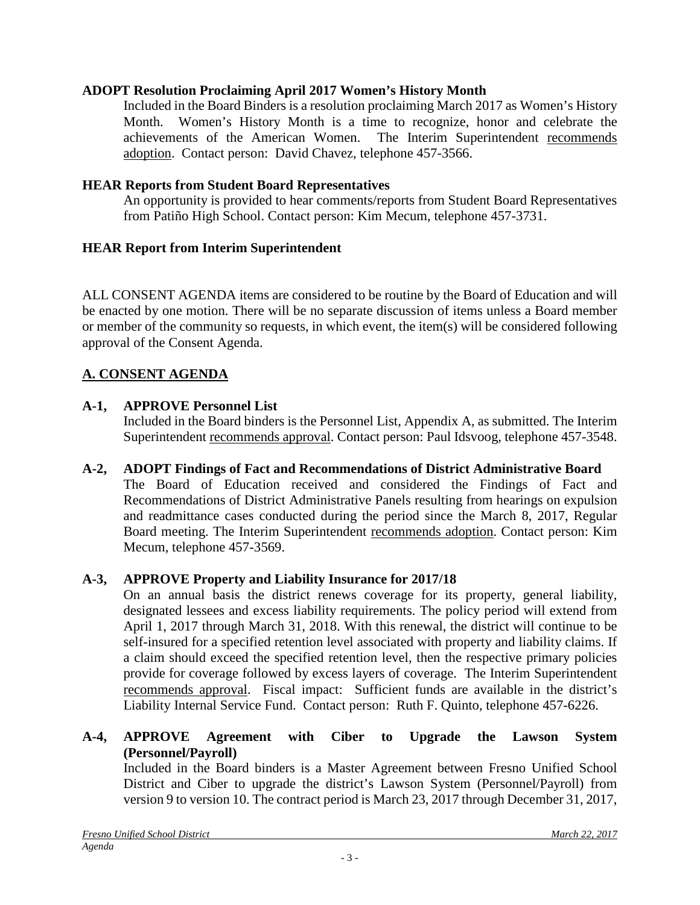### **ADOPT Resolution Proclaiming April 2017 Women's History Month**

Included in the Board Binders is a resolution proclaiming March 2017 as Women's History Month. Women's History Month is a time to recognize, honor and celebrate the achievements of the American Women. The Interim Superintendent recommends adoption. Contact person: David Chavez, telephone 457-3566.

### **HEAR Reports from Student Board Representatives**

An opportunity is provided to hear comments/reports from Student Board Representatives from Patiño High School. Contact person: Kim Mecum, telephone 457-3731.

### **HEAR Report from Interim Superintendent**

ALL CONSENT AGENDA items are considered to be routine by the Board of Education and will be enacted by one motion. There will be no separate discussion of items unless a Board member or member of the community so requests, in which event, the item(s) will be considered following approval of the Consent Agenda.

### **A. CONSENT AGENDA**

### **A-1, APPROVE Personnel List**

Included in the Board binders is the Personnel List, Appendix A, as submitted. The Interim Superintendent recommends approval. Contact person: Paul Idsvoog, telephone 457-3548.

# **A-2, ADOPT Findings of Fact and Recommendations of District Administrative Board**

The Board of Education received and considered the Findings of Fact and Recommendations of District Administrative Panels resulting from hearings on expulsion and readmittance cases conducted during the period since the March 8, 2017, Regular Board meeting. The Interim Superintendent recommends adoption. Contact person: Kim Mecum, telephone 457-3569.

### **A-3, APPROVE Property and Liability Insurance for 2017/18**

On an annual basis the district renews coverage for its property, general liability, designated lessees and excess liability requirements. The policy period will extend from April 1, 2017 through March 31, 2018. With this renewal, the district will continue to be self-insured for a specified retention level associated with property and liability claims. If a claim should exceed the specified retention level, then the respective primary policies provide for coverage followed by excess layers of coverage. The Interim Superintendent recommends approval. Fiscal impact: Sufficient funds are available in the district's Liability Internal Service Fund. Contact person: Ruth F. Quinto, telephone 457-6226.

### **A-4, APPROVE Agreement with Ciber to Upgrade the Lawson System (Personnel/Payroll)**

Included in the Board binders is a Master Agreement between Fresno Unified School District and Ciber to upgrade the district's Lawson System (Personnel/Payroll) from version 9 to version 10. The contract period is March 23, 2017 through December 31, 2017,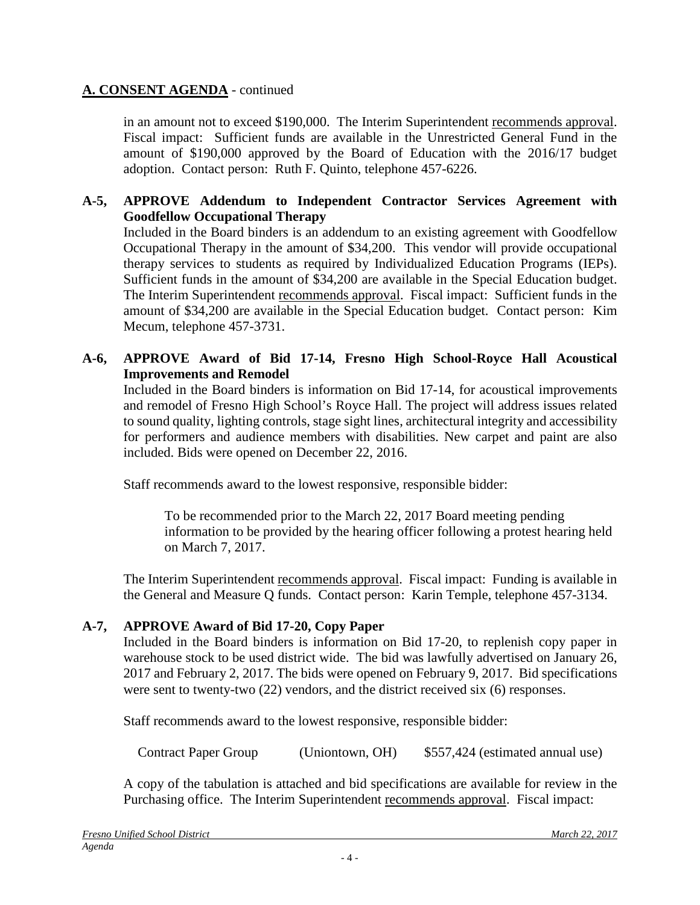# **A. CONSENT AGENDA** - continued

in an amount not to exceed \$190,000. The Interim Superintendent recommends approval. Fiscal impact: Sufficient funds are available in the Unrestricted General Fund in the amount of \$190,000 approved by the Board of Education with the 2016/17 budget adoption. Contact person: Ruth F. Quinto, telephone 457-6226.

### **A-5, APPROVE Addendum to Independent Contractor Services Agreement with Goodfellow Occupational Therapy**

Included in the Board binders is an addendum to an existing agreement with Goodfellow Occupational Therapy in the amount of \$34,200. This vendor will provide occupational therapy services to students as required by Individualized Education Programs (IEPs). Sufficient funds in the amount of \$34,200 are available in the Special Education budget. The Interim Superintendent recommends approval. Fiscal impact: Sufficient funds in the amount of \$34,200 are available in the Special Education budget. Contact person: Kim Mecum, telephone 457-3731.

### **A-6, APPROVE Award of Bid 17-14, Fresno High School-Royce Hall Acoustical Improvements and Remodel**

Included in the Board binders is information on Bid 17-14, for acoustical improvements and remodel of Fresno High School's Royce Hall. The project will address issues related to sound quality, lighting controls, stage sight lines, architectural integrity and accessibility for performers and audience members with disabilities. New carpet and paint are also included. Bids were opened on December 22, 2016.

Staff recommends award to the lowest responsive, responsible bidder:

To be recommended prior to the March 22, 2017 Board meeting pending information to be provided by the hearing officer following a protest hearing held on March 7, 2017.

The Interim Superintendent recommends approval. Fiscal impact: Funding is available in the General and Measure Q funds. Contact person: Karin Temple, telephone 457-3134.

# **A-7, APPROVE Award of Bid 17-20, Copy Paper**

Included in the Board binders is information on Bid 17-20, to replenish copy paper in warehouse stock to be used district wide. The bid was lawfully advertised on January 26, 2017 and February 2, 2017. The bids were opened on February 9, 2017. Bid specifications were sent to twenty-two (22) vendors, and the district received six (6) responses.

Staff recommends award to the lowest responsive, responsible bidder:

Contract Paper Group (Uniontown, OH) \$557,424 (estimated annual use)

A copy of the tabulation is attached and bid specifications are available for review in the Purchasing office. The Interim Superintendent recommends approval. Fiscal impact: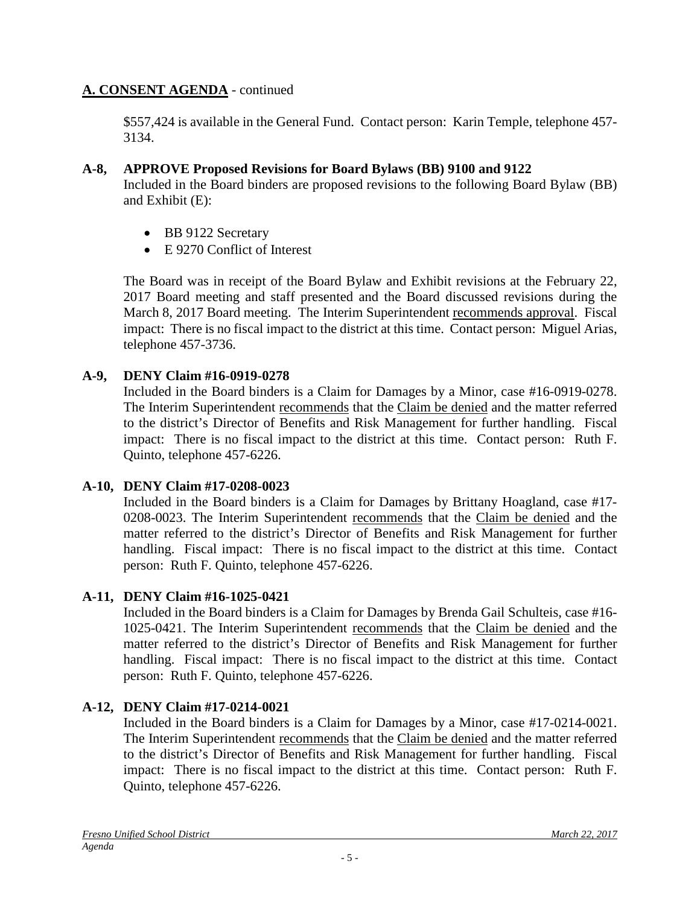# **A. CONSENT AGENDA** - continued

\$557,424 is available in the General Fund. Contact person: Karin Temple, telephone 457- 3134.

# **A-8, APPROVE Proposed Revisions for Board Bylaws (BB) 9100 and 9122**

Included in the Board binders are proposed revisions to the following Board Bylaw (BB) and Exhibit (E):

- BB 9122 Secretary
- E 9270 Conflict of Interest

The Board was in receipt of the Board Bylaw and Exhibit revisions at the February 22, 2017 Board meeting and staff presented and the Board discussed revisions during the March 8, 2017 Board meeting. The Interim Superintendent recommends approval. Fiscal impact: There is no fiscal impact to the district at this time. Contact person: Miguel Arias, telephone 457-3736.

# **A-9, DENY Claim #16-0919-0278**

Included in the Board binders is a Claim for Damages by a Minor, case #16-0919-0278. The Interim Superintendent recommends that the Claim be denied and the matter referred to the district's Director of Benefits and Risk Management for further handling. Fiscal impact: There is no fiscal impact to the district at this time. Contact person: Ruth F. Quinto, telephone 457-6226.

# **A-10, DENY Claim #17-0208-0023**

Included in the Board binders is a Claim for Damages by Brittany Hoagland, case #17- 0208-0023. The Interim Superintendent recommends that the Claim be denied and the matter referred to the district's Director of Benefits and Risk Management for further handling. Fiscal impact: There is no fiscal impact to the district at this time. Contact person: Ruth F. Quinto, telephone 457-6226.

# **A-11, DENY Claim #16-1025-0421**

Included in the Board binders is a Claim for Damages by Brenda Gail Schulteis, case #16- 1025-0421. The Interim Superintendent recommends that the Claim be denied and the matter referred to the district's Director of Benefits and Risk Management for further handling. Fiscal impact: There is no fiscal impact to the district at this time. Contact person: Ruth F. Quinto, telephone 457-6226.

# **A-12, DENY Claim #17-0214-0021**

Included in the Board binders is a Claim for Damages by a Minor, case #17-0214-0021. The Interim Superintendent recommends that the Claim be denied and the matter referred to the district's Director of Benefits and Risk Management for further handling. Fiscal impact: There is no fiscal impact to the district at this time. Contact person: Ruth F. Quinto, telephone 457-6226.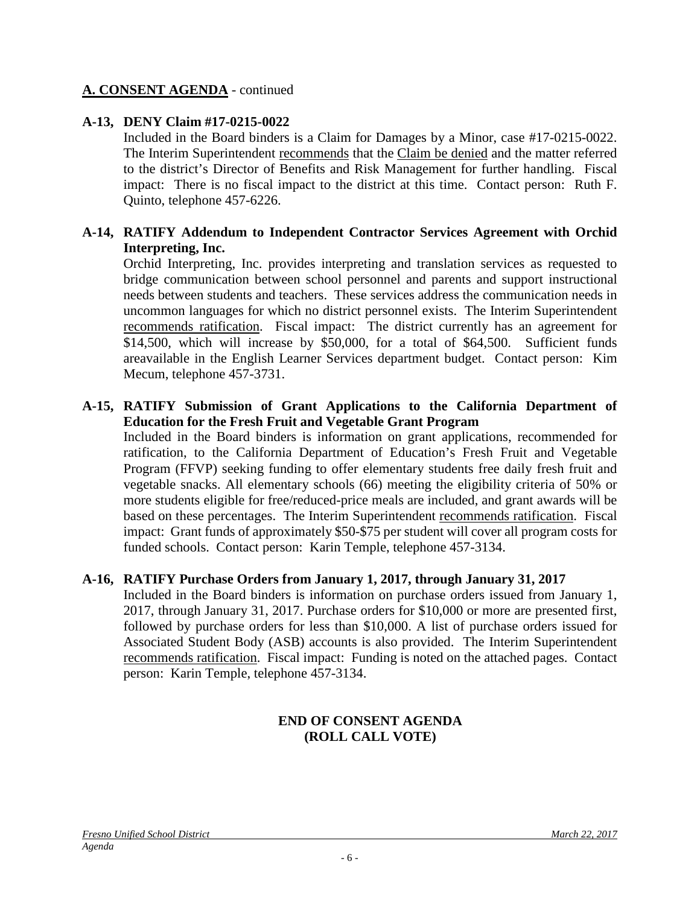### **A. CONSENT AGENDA** - continued

### **A-13, DENY Claim #17-0215-0022**

Included in the Board binders is a Claim for Damages by a Minor, case #17-0215-0022. The Interim Superintendent recommends that the Claim be denied and the matter referred to the district's Director of Benefits and Risk Management for further handling. Fiscal impact: There is no fiscal impact to the district at this time. Contact person: Ruth F. Quinto, telephone 457-6226.

### **A-14, RATIFY Addendum to Independent Contractor Services Agreement with Orchid Interpreting, Inc.**

Orchid Interpreting, Inc. provides interpreting and translation services as requested to bridge communication between school personnel and parents and support instructional needs between students and teachers. These services address the communication needs in uncommon languages for which no district personnel exists. The Interim Superintendent recommends ratification. Fiscal impact: The district currently has an agreement for \$14,500, which will increase by \$50,000, for a total of \$64,500. Sufficient funds areavailable in the English Learner Services department budget. Contact person: Kim Mecum, telephone 457-3731.

#### **A-15, RATIFY Submission of Grant Applications to the California Department of Education for the Fresh Fruit and Vegetable Grant Program**

Included in the Board binders is information on grant applications, recommended for ratification, to the California Department of Education's Fresh Fruit and Vegetable Program (FFVP) seeking funding to offer elementary students free daily fresh fruit and vegetable snacks. All elementary schools (66) meeting the eligibility criteria of 50% or more students eligible for free/reduced-price meals are included, and grant awards will be based on these percentages. The Interim Superintendent recommends ratification. Fiscal impact: Grant funds of approximately \$50-\$75 per student will cover all program costs for funded schools. Contact person: Karin Temple, telephone 457-3134.

### **A-16, RATIFY Purchase Orders from January 1, 2017, through January 31, 2017**

Included in the Board binders is information on purchase orders issued from January 1, 2017, through January 31, 2017. Purchase orders for \$10,000 or more are presented first, followed by purchase orders for less than \$10,000. A list of purchase orders issued for Associated Student Body (ASB) accounts is also provided. The Interim Superintendent recommends ratification. Fiscal impact: Funding is noted on the attached pages. Contact person: Karin Temple, telephone 457-3134.

### **END OF CONSENT AGENDA (ROLL CALL VOTE)**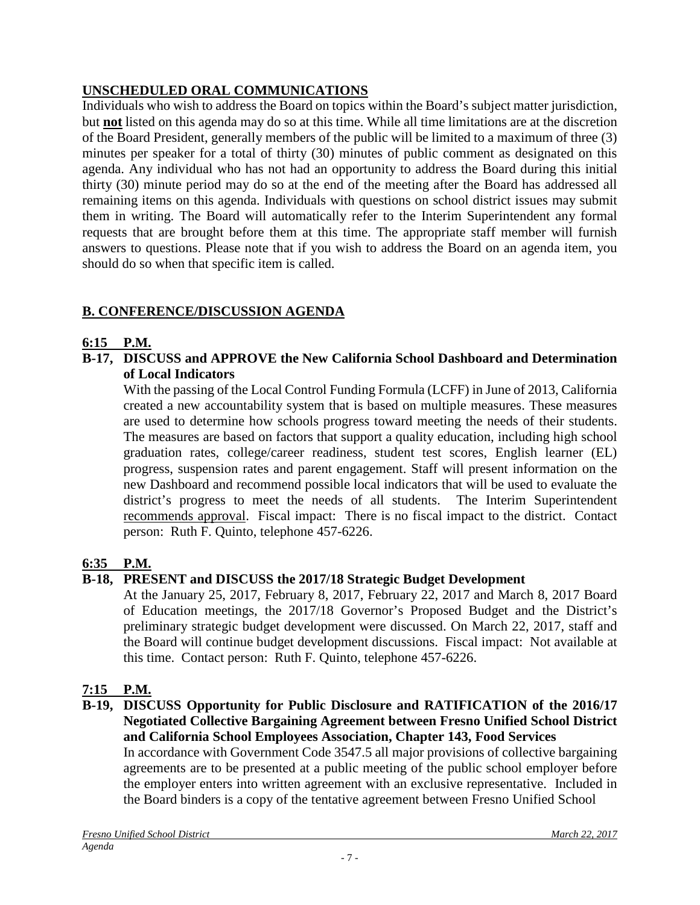# **UNSCHEDULED ORAL COMMUNICATIONS**

Individuals who wish to address the Board on topics within the Board's subject matter jurisdiction, but **not** listed on this agenda may do so at this time. While all time limitations are at the discretion of the Board President, generally members of the public will be limited to a maximum of three (3) minutes per speaker for a total of thirty (30) minutes of public comment as designated on this agenda. Any individual who has not had an opportunity to address the Board during this initial thirty (30) minute period may do so at the end of the meeting after the Board has addressed all remaining items on this agenda. Individuals with questions on school district issues may submit them in writing. The Board will automatically refer to the Interim Superintendent any formal requests that are brought before them at this time. The appropriate staff member will furnish answers to questions. Please note that if you wish to address the Board on an agenda item, you should do so when that specific item is called.

# **B. CONFERENCE/DISCUSSION AGENDA**

# **6:15 P.M.**

**B-17, DISCUSS and APPROVE the New California School Dashboard and Determination of Local Indicators**

With the passing of the Local Control Funding Formula (LCFF) in June of 2013, California created a new accountability system that is based on multiple measures. These measures are used to determine how schools progress toward meeting the needs of their students. The measures are based on factors that support a quality education, including high school graduation rates, college/career readiness, student test scores, English learner (EL) progress, suspension rates and parent engagement. Staff will present information on the new Dashboard and recommend possible local indicators that will be used to evaluate the district's progress to meet the needs of all students. The Interim Superintendent recommends approval. Fiscal impact: There is no fiscal impact to the district. Contact person: Ruth F. Quinto, telephone 457-6226.

# **6:35 P.M.**

# **B-18, PRESENT and DISCUSS the 2017/18 Strategic Budget Development**

At the January 25, 2017, February 8, 2017, February 22, 2017 and March 8, 2017 Board of Education meetings, the 2017/18 Governor's Proposed Budget and the District's preliminary strategic budget development were discussed. On March 22, 2017, staff and the Board will continue budget development discussions. Fiscal impact: Not available at this time. Contact person: Ruth F. Quinto, telephone 457-6226.

# **7:15 P.M.**

**B-19, DISCUSS Opportunity for Public Disclosure and RATIFICATION of the 2016/17 Negotiated Collective Bargaining Agreement between Fresno Unified School District and California School Employees Association, Chapter 143, Food Services**

In accordance with Government Code 3547.5 all major provisions of collective bargaining agreements are to be presented at a public meeting of the public school employer before the employer enters into written agreement with an exclusive representative. Included in the Board binders is a copy of the tentative agreement between Fresno Unified School